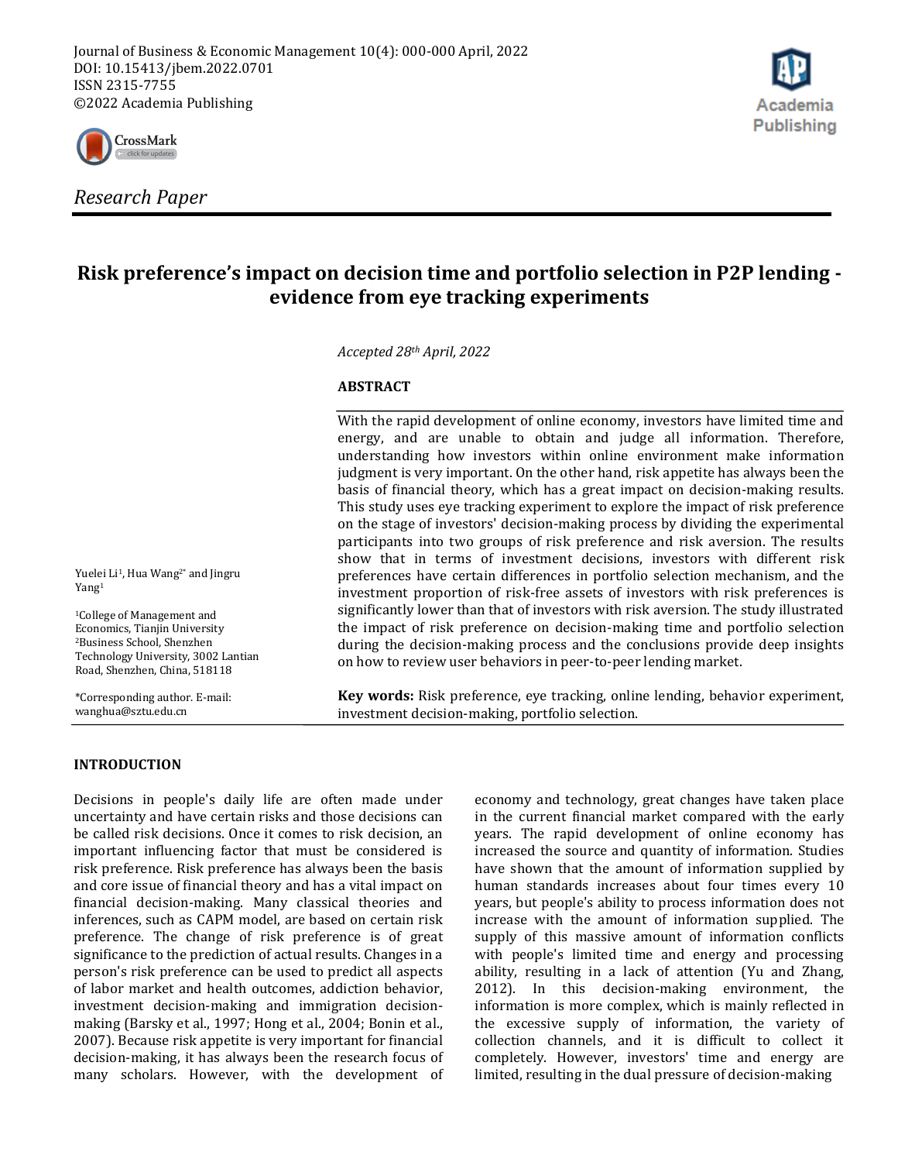



# **Risk preference's impact on decision time and portfolio selection in P2P lending evidence from eye tracking experiments**

*Accepted 28th April, 2022*

#### **ABSTRACT**

With the rapid development of online economy, investors have limited time and energy, and are unable to obtain and judge all information. Therefore, understanding how investors within online environment make information judgment is very important. On the other hand, risk appetite has always been the basis of financial theory, which has a great impact on decision-making results. This study uses eye tracking experiment to explore the impact of risk preference on the stage of investors' decision-making process by dividing the experimental participants into two groups of risk preference and risk aversion. The results show that in terms of investment decisions, investors with different risk preferences have certain differences in portfolio selection mechanism, and the investment proportion of risk-free assets of investors with risk preferences is significantly lower than that of investors with risk aversion. The study illustrated the impact of risk preference on decision-making time and portfolio selection during the decision-making process and the conclusions provide deep insights on how to review user behaviors in peer-to-peer lending market.

**Key words:** Risk preference, eye tracking, online lending, behavior experiment, investment decision-making, portfolio selection.

#### **INTRODUCTION**

Decisions in people's daily life are often made under uncertainty and have certain risks and those decisions can be called risk decisions. Once it comes to risk decision, an important influencing factor that must be considered is risk preference. Risk preference has always been the basis and core issue of financial theory and has a vital impact on financial decision-making. Many classical theories and inferences, such as CAPM model, are based on certain risk preference. The change of risk preference is of great significance to the prediction of actual results. Changes in a person's risk preference can be used to predict all aspects of labor market and health outcomes, addiction behavior, investment decision-making and immigration decisionmaking (Barsky et al., 1997; Hong et al., 2004; Bonin et al., 2007). Because risk appetite is very important for financial decision-making, it has always been the research focus of many scholars. However, with the development of economy and technology, great changes have taken place in the current financial market compared with the early years. The rapid development of online economy has increased the source and quantity of information. Studies have shown that the amount of information supplied by human standards increases about four times every 10 years, but people's ability to process information does not increase with the amount of information supplied. The supply of this massive amount of information conflicts with people's limited time and energy and processing ability, resulting in a lack of attention (Yu and Zhang, 2012). In this decision-making environment, the information is more complex, which is mainly reflected in the excessive supply of information, the variety of collection channels, and it is difficult to collect it completely. However, investors' time and energy are limited, resulting in the dual pressure of decision-making

Yuelei Li<sup>1</sup>, Hua Wang<sup>2\*</sup> and Jingru Yang<sup>1</sup>

<sup>1</sup>College of Management and Economics, Tianjin University <sup>2</sup>Business School, Shenzhen Technology University, 3002 Lantian Road, Shenzhen, China, 518118

\*Corresponding author. E-mail: wanghua@sztu.edu.cn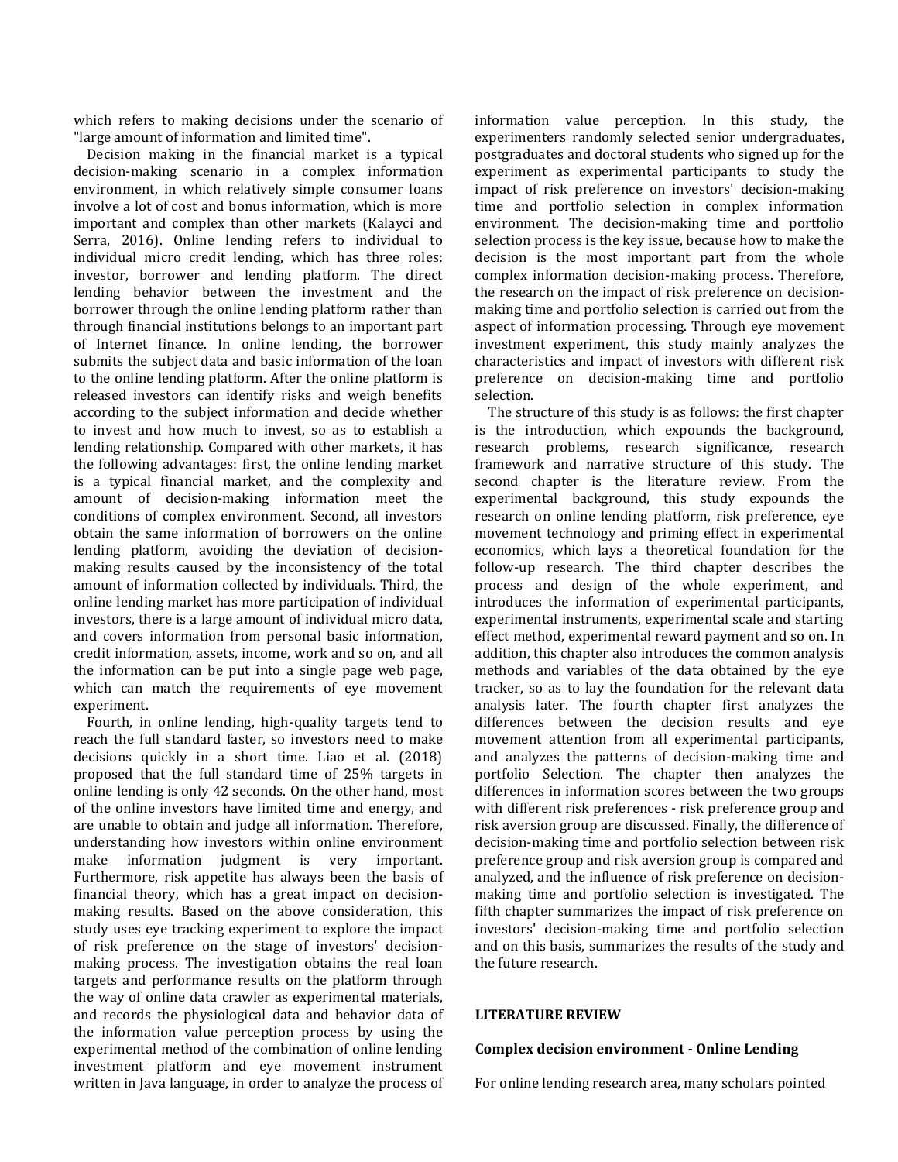which refers to making decisions under the scenario of "large amount of information and limited time".

Decision making in the financial market is a typical decision-making scenario in a complex information environment, in which relatively simple consumer loans involve a lot of cost and bonus information, which is more important and complex than other markets (Kalayci and Serra, 2016). Online lending refers to individual to individual micro credit lending, which has three roles: investor, borrower and lending platform. The direct lending behavior between the investment and the borrower through the online lending platform rather than through financial institutions belongs to an important part of Internet finance. In online lending, the borrower submits the subject data and basic information of the loan to the online lending platform. After the online platform is released investors can identify risks and weigh benefits according to the subject information and decide whether to invest and how much to invest, so as to establish a lending relationship. Compared with other markets, it has the following advantages: first, the online lending market is a typical financial market, and the complexity and amount of decision-making information meet the conditions of complex environment. Second, all investors obtain the same information of borrowers on the online lending platform, avoiding the deviation of decisionmaking results caused by the inconsistency of the total amount of information collected by individuals. Third, the online lending market has more participation of individual investors, there is a large amount of individual micro data, and covers information from personal basic information, credit information, assets, income, work and so on, and all the information can be put into a single page web page, which can match the requirements of eye movement experiment.

Fourth, in online lending, high-quality targets tend to reach the full standard faster, so investors need to make decisions quickly in a short time. Liao et al. (2018) proposed that the full standard time of 25% targets in online lending is only 42 seconds. On the other hand, most of the online investors have limited time and energy, and are unable to obtain and judge all information. Therefore, understanding how investors within online environment make information judgment is very important. Furthermore, risk appetite has always been the basis of financial theory, which has a great impact on decisionmaking results. Based on the above consideration, this study uses eye tracking experiment to explore the impact of risk preference on the stage of investors' decisionmaking process. The investigation obtains the real loan targets and performance results on the platform through the way of online data crawler as experimental materials, and records the physiological data and behavior data of the information value perception process by using the experimental method of the combination of online lending investment platform and eye movement instrument written in Java language, in order to analyze the process of information value perception. In this study, the experimenters randomly selected senior undergraduates, postgraduates and doctoral students who signed up for the experiment as experimental participants to study the impact of risk preference on investors' decision-making time and portfolio selection in complex information environment. The decision-making time and portfolio selection process is the key issue, because how to make the decision is the most important part from the whole complex information decision-making process. Therefore, the research on the impact of risk preference on decisionmaking time and portfolio selection is carried out from the aspect of information processing. Through eye movement investment experiment, this study mainly analyzes the characteristics and impact of investors with different risk preference on decision-making time and portfolio selection.

The structure of this study is as follows: the first chapter is the introduction, which expounds the background, research problems, research significance, research framework and narrative structure of this study. The second chapter is the literature review. From the experimental background, this study expounds the research on online lending platform, risk preference, eye movement technology and priming effect in experimental economics, which lays a theoretical foundation for the follow-up research. The third chapter describes the process and design of the whole experiment, and introduces the information of experimental participants, experimental instruments, experimental scale and starting effect method, experimental reward payment and so on. In addition, this chapter also introduces the common analysis methods and variables of the data obtained by the eye tracker, so as to lay the foundation for the relevant data analysis later. The fourth chapter first analyzes the differences between the decision results and eye movement attention from all experimental participants, and analyzes the patterns of decision-making time and portfolio Selection. The chapter then analyzes the differences in information scores between the two groups with different risk preferences - risk preference group and risk aversion group are discussed. Finally, the difference of decision-making time and portfolio selection between risk preference group and risk aversion group is compared and analyzed, and the influence of risk preference on decisionmaking time and portfolio selection is investigated. The fifth chapter summarizes the impact of risk preference on investors' decision-making time and portfolio selection and on this basis, summarizes the results of the study and the future research.

## **LITERATURE REVIEW**

#### **Complex decision environment - Online Lending**

For online lending research area, many scholars pointed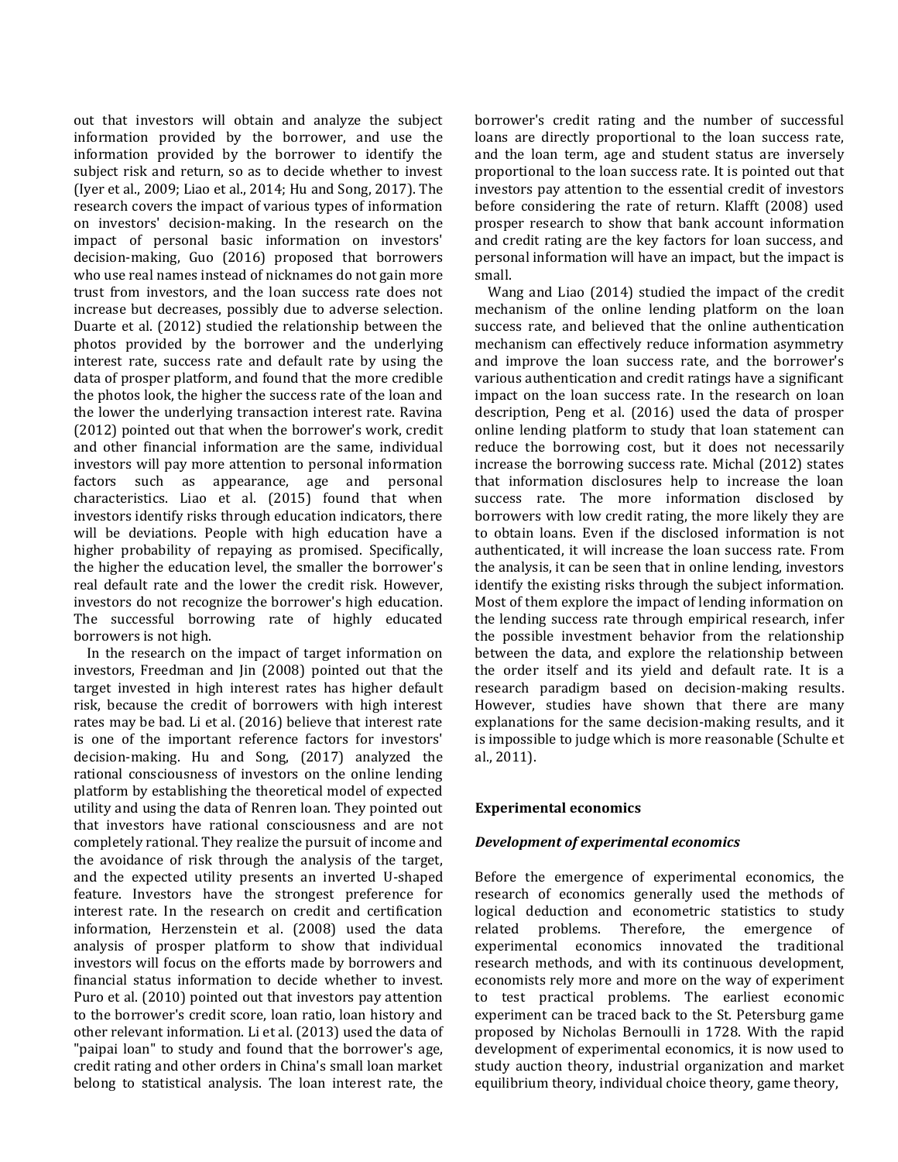out that investors will obtain and analyze the subject information provided by the borrower, and use the information provided by the borrower to identify the subject risk and return, so as to decide whether to invest (Iyer et al., 2009; Liao et al., 2014; Hu and Song, 2017). The research covers the impact of various types of information on investors' decision-making. In the research on the impact of personal basic information on investors' decision-making, Guo (2016) proposed that borrowers who use real names instead of nicknames do not gain more trust from investors, and the loan success rate does not increase but decreases, possibly due to adverse selection. Duarte et al. (2012) studied the relationship between the photos provided by the borrower and the underlying interest rate, success rate and default rate by using the data of prosper platform, and found that the more credible the photos look, the higher the success rate of the loan and the lower the underlying transaction interest rate. Ravina (2012) pointed out that when the borrower's work, credit and other financial information are the same, individual investors will pay more attention to personal information factors such as appearance, age and personal characteristics. Liao et al. (2015) found that when investors identify risks through education indicators, there will be deviations. People with high education have a higher probability of repaying as promised. Specifically, the higher the education level, the smaller the borrower's real default rate and the lower the credit risk. However, investors do not recognize the borrower's high education. The successful borrowing rate of highly educated borrowers is not high.

In the research on the impact of target information on investors, Freedman and Jin (2008) pointed out that the target invested in high interest rates has higher default risk, because the credit of borrowers with high interest rates may be bad. Li et al. (2016) believe that interest rate is one of the important reference factors for investors' decision-making. Hu and Song, (2017) analyzed the rational consciousness of investors on the online lending platform by establishing the theoretical model of expected utility and using the data of Renren loan. They pointed out that investors have rational consciousness and are not completely rational. They realize the pursuit of income and the avoidance of risk through the analysis of the target, and the expected utility presents an inverted U-shaped feature. Investors have the strongest preference for interest rate. In the research on credit and certification information, Herzenstein et al. (2008) used the data analysis of prosper platform to show that individual investors will focus on the efforts made by borrowers and financial status information to decide whether to invest. Puro et al. (2010) pointed out that investors pay attention to the borrower's credit score, loan ratio, loan history and other relevant information. Li et al. (2013) used the data of "paipai loan" to study and found that the borrower's age, credit rating and other orders in China's small loan market belong to statistical analysis. The loan interest rate, the borrower's credit rating and the number of successful loans are directly proportional to the loan success rate, and the loan term, age and student status are inversely proportional to the loan success rate. It is pointed out that investors pay attention to the essential credit of investors before considering the rate of return. Klafft (2008) used prosper research to show that bank account information and credit rating are the key factors for loan success, and personal information will have an impact, but the impact is small.

Wang and Liao (2014) studied the impact of the credit mechanism of the online lending platform on the loan success rate, and believed that the online authentication mechanism can effectively reduce information asymmetry and improve the loan success rate, and the borrower's various authentication and credit ratings have a significant impact on the loan success rate. In the research on loan description, Peng et al. (2016) used the data of prosper online lending platform to study that loan statement can reduce the borrowing cost, but it does not necessarily increase the borrowing success rate. Michal (2012) states that information disclosures help to increase the loan success rate. The more information disclosed by borrowers with low credit rating, the more likely they are to obtain loans. Even if the disclosed information is not authenticated, it will increase the loan success rate. From the analysis, it can be seen that in online lending, investors identify the existing risks through the subject information. Most of them explore the impact of lending information on the lending success rate through empirical research, infer the possible investment behavior from the relationship between the data, and explore the relationship between the order itself and its yield and default rate. It is a research paradigm based on decision-making results. However, studies have shown that there are many explanations for the same decision-making results, and it is impossible to judge which is more reasonable (Schulte et al., 2011).

## **Experimental economics**

#### *Development of experimental economics*

Before the emergence of experimental economics, the research of economics generally used the methods of logical deduction and econometric statistics to study related problems. Therefore, the emergence of experimental economics innovated the traditional research methods, and with its continuous development, economists rely more and more on the way of experiment to test practical problems. The earliest economic experiment can be traced back to the St. Petersburg game proposed by Nicholas Bernoulli in 1728. With the rapid development of experimental economics, it is now used to study auction theory, industrial organization and market equilibrium theory, individual choice theory, game theory,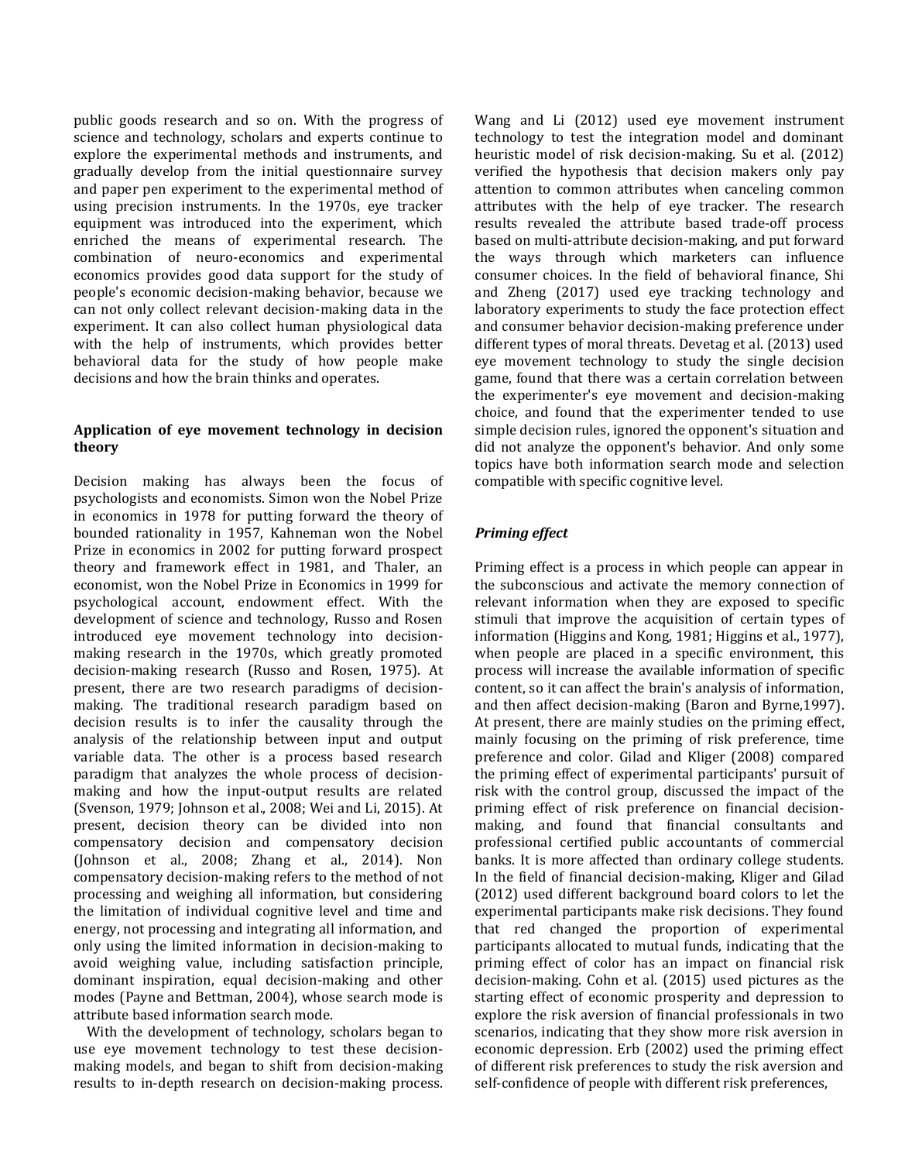public goods research and so on. With the progress of science and technology, scholars and experts continue to explore the experimental methods and instruments, and gradually develop from the initial questionnaire survey and paper pen experiment to the experimental method of using precision instruments. In the 1970s, eye tracker equipment was introduced into the experiment, which enriched the means of experimental research. The combination of neuro-economics and experimental economics provides good data support for the study of people's economic decision-making behavior, because we can not only collect relevant decision-making data in the experiment. It can also collect human physiological data with the help of instruments, which provides better behavioral data for the study of how people make decisions and how the brain thinks and operates.

## **Application of eye movement technology in decision theory**

Decision making has always been the focus of psychologists and economists. Simon won the Nobel Prize in economics in 1978 for putting forward the theory of bounded rationality in 1957, Kahneman won the Nobel Prize in economics in 2002 for putting forward prospect theory and framework effect in 1981, and Thaler, an economist, won the Nobel Prize in Economics in 1999 for psychological account, endowment effect. With the development of science and technology, Russo and Rosen introduced eye movement technology into decisionmaking research in the 1970s, which greatly promoted decision-making research (Russo and Rosen, 1975). At present, there are two research paradigms of decisionmaking. The traditional research paradigm based on decision results is to infer the causality through the analysis of the relationship between input and output variable data. The other is a process based research paradigm that analyzes the whole process of decisionmaking and how the input-output results are related (Svenson, 1979; Johnson et al., 2008; Wei and Li, 2015). At present, decision theory can be divided into non compensatory decision and compensatory decision (Johnson et al., 2008; Zhang et al., 2014). Non compensatory decision-making refers to the method of not processing and weighing all information, but considering the limitation of individual cognitive level and time and energy, not processing and integrating all information, and only using the limited information in decision-making to avoid weighing value, including satisfaction principle, dominant inspiration, equal decision-making and other modes (Payne and Bettman, 2004), whose search mode is attribute based information search mode.

With the development of technology, scholars began to use eye movement technology to test these decisionmaking models, and began to shift from decision-making results to in-depth research on decision-making process. Wang and Li (2012) used eye movement instrument technology to test the integration model and dominant heuristic model of risk decision-making. Su et al. (2012) verified the hypothesis that decision makers only pay attention to common attributes when canceling common attributes with the help of eye tracker. The research results revealed the attribute based trade-off process based on multi-attribute decision-making, and put forward the ways through which marketers can influence consumer choices. In the field of behavioral finance, Shi and Zheng (2017) used eye tracking technology and laboratory experiments to study the face protection effect and consumer behavior decision-making preference under different types of moral threats. Devetag et al. (2013) used eye movement technology to study the single decision game, found that there was a certain correlation between the experimenter's eye movement and decision-making choice, and found that the experimenter tended to use simple decision rules, ignored the opponent's situation and did not analyze the opponent's behavior. And only some topics have both information search mode and selection compatible with specific cognitive level.

## *Priming effect*

Priming effect is a process in which people can appear in the subconscious and activate the memory connection of relevant information when they are exposed to specific stimuli that improve the acquisition of certain types of information (Higgins and Kong, 1981; Higgins et al., 1977), when people are placed in a specific environment, this process will increase the available information of specific content, so it can affect the brain's analysis of information, and then affect decision-making (Baron and Byrne,1997). At present, there are mainly studies on the priming effect, mainly focusing on the priming of risk preference, time preference and color. Gilad and Kliger (2008) compared the priming effect of experimental participants' pursuit of risk with the control group, discussed the impact of the priming effect of risk preference on financial decisionmaking, and found that financial consultants and professional certified public accountants of commercial banks. It is more affected than ordinary college students. In the field of financial decision-making, Kliger and Gilad (2012) used different background board colors to let the experimental participants make risk decisions. They found that red changed the proportion of experimental participants allocated to mutual funds, indicating that the priming effect of color has an impact on financial risk decision-making. Cohn et al. (2015) used pictures as the starting effect of economic prosperity and depression to explore the risk aversion of financial professionals in two scenarios, indicating that they show more risk aversion in economic depression. Erb (2002) used the priming effect of different risk preferences to study the risk aversion and self-confidence of people with different risk preferences,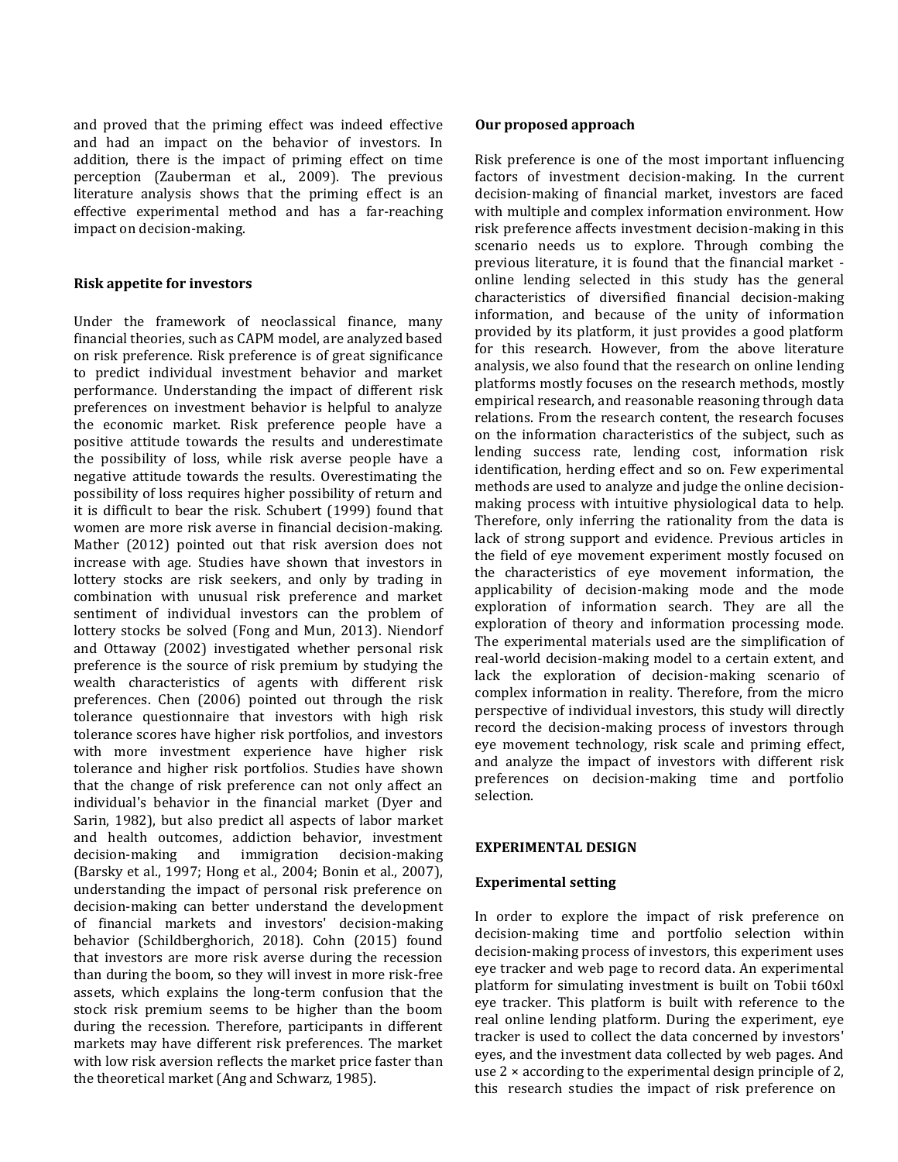and proved that the priming effect was indeed effective and had an impact on the behavior of investors. In addition, there is the impact of priming effect on time perception (Zauberman et al., 2009). The previous literature analysis shows that the priming effect is an effective experimental method and has a far-reaching impact on decision-making.

## **Risk appetite for investors**

Under the framework of neoclassical finance, many financial theories, such as CAPM model, are analyzed based on risk preference. Risk preference is of great significance to predict individual investment behavior and market performance. Understanding the impact of different risk preferences on investment behavior is helpful to analyze the economic market. Risk preference people have a positive attitude towards the results and underestimate the possibility of loss, while risk averse people have a negative attitude towards the results. Overestimating the possibility of loss requires higher possibility of return and it is difficult to bear the risk. Schubert (1999) found that women are more risk averse in financial decision-making. Mather (2012) pointed out that risk aversion does not increase with age. Studies have shown that investors in lottery stocks are risk seekers, and only by trading in combination with unusual risk preference and market sentiment of individual investors can the problem of lottery stocks be solved (Fong and Mun, 2013). Niendorf and Ottaway (2002) investigated whether personal risk preference is the source of risk premium by studying the wealth characteristics of agents with different risk preferences. Chen (2006) pointed out through the risk tolerance questionnaire that investors with high risk tolerance scores have higher risk portfolios, and investors with more investment experience have higher risk tolerance and higher risk portfolios. Studies have shown that the change of risk preference can not only affect an individual's behavior in the financial market (Dyer and Sarin, 1982), but also predict all aspects of labor market and health outcomes, addiction behavior, investment decision-making and immigration decision-making (Barsky et al., 1997; Hong et al., 2004; Bonin et al., 2007), understanding the impact of personal risk preference on decision-making can better understand the development of financial markets and investors' decision-making behavior (Schildberghorich, 2018). Cohn (2015) found that investors are more risk averse during the recession than during the boom, so they will invest in more risk-free assets, which explains the long-term confusion that the stock risk premium seems to be higher than the boom during the recession. Therefore, participants in different markets may have different risk preferences. The market with low risk aversion reflects the market price faster than the theoretical market (Ang and Schwarz, 1985).

## **Our proposed approach**

Risk preference is one of the most important influencing factors of investment decision-making. In the current decision-making of financial market, investors are faced with multiple and complex information environment. How risk preference affects investment decision-making in this scenario needs us to explore. Through combing the previous literature, it is found that the financial market online lending selected in this study has the general characteristics of diversified financial decision-making information, and because of the unity of information provided by its platform, it just provides a good platform for this research. However, from the above literature analysis, we also found that the research on online lending platforms mostly focuses on the research methods, mostly empirical research, and reasonable reasoning through data relations. From the research content, the research focuses on the information characteristics of the subject, such as lending success rate, lending cost, information risk identification, herding effect and so on. Few experimental methods are used to analyze and judge the online decisionmaking process with intuitive physiological data to help. Therefore, only inferring the rationality from the data is lack of strong support and evidence. Previous articles in the field of eye movement experiment mostly focused on the characteristics of eye movement information, the applicability of decision-making mode and the mode exploration of information search. They are all the exploration of theory and information processing mode. The experimental materials used are the simplification of real-world decision-making model to a certain extent, and lack the exploration of decision-making scenario of complex information in reality. Therefore, from the micro perspective of individual investors, this study will directly record the decision-making process of investors through eye movement technology, risk scale and priming effect, and analyze the impact of investors with different risk preferences on decision-making time and portfolio selection.

## **EXPERIMENTAL DESIGN**

## **Experimental setting**

In order to explore the impact of risk preference on decision-making time and portfolio selection within decision-making process of investors, this experiment uses eye tracker and web page to record data. An experimental platform for simulating investment is built on Tobii t60xl eye tracker. This platform is built with reference to the real online lending platform. During the experiment, eye tracker is used to collect the data concerned by investors' eyes, and the investment data collected by web pages. And use  $2 \times$  according to the experimental design principle of 2, this research studies the impact of risk preference on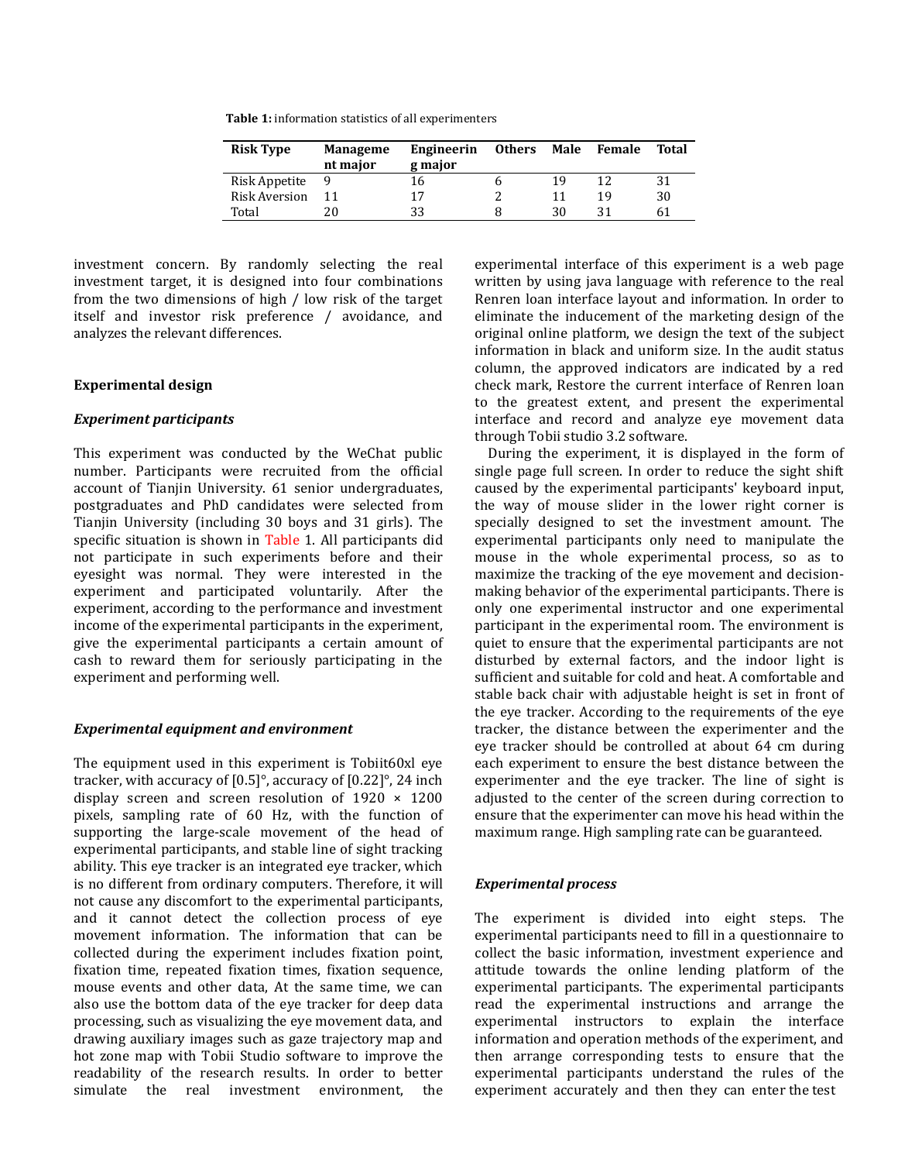**Table 1:** information statistics of all experimenters

| <b>Risk Type</b> | <b>Manageme</b><br>nt major | Engineerin<br>g major | <b>Others</b> | Male | Female | Total |
|------------------|-----------------------------|-----------------------|---------------|------|--------|-------|
| Risk Appetite    |                             | 16                    |               | 19   | 12     | 31    |
| Risk Aversion    |                             | 17                    |               |      | 19     | 30    |
| Total            | 20                          | 33                    |               | 30   | 31     | 61    |

investment concern. By randomly selecting the real investment target, it is designed into four combinations from the two dimensions of high / low risk of the target itself and investor risk preference / avoidance, and analyzes the relevant differences.

#### **Experimental design**

## *Experiment participants*

This experiment was conducted by the WeChat public number. Participants were recruited from the official account of Tianiin University. 61 senior undergraduates, postgraduates and PhD candidates were selected from Tianjin University (including 30 boys and 31 girls). The specific situation is shown in Table 1. All participants did not participate in such experiments before and their eyesight was normal. They were interested in the experiment and participated voluntarily. After the experiment, according to the performance and investment income of the experimental participants in the experiment, give the experimental participants a certain amount of cash to reward them for seriously participating in the experiment and performing well.

#### *Experimental equipment and environment*

The equipment used in this experiment is Tobiit60xl eye tracker, with accuracy of [0.5]°, accuracy of [0.22]°, 24 inch display screen and screen resolution of  $1920 \times 1200$ pixels, sampling rate of 60 Hz, with the function of supporting the large-scale movement of the head of experimental participants, and stable line of sight tracking ability. This eye tracker is an integrated eye tracker, which is no different from ordinary computers. Therefore, it will not cause any discomfort to the experimental participants, and it cannot detect the collection process of eye movement information. The information that can be collected during the experiment includes fixation point, fixation time, repeated fixation times, fixation sequence, mouse events and other data, At the same time, we can also use the bottom data of the eye tracker for deep data processing, such as visualizing the eye movement data, and drawing auxiliary images such as gaze trajectory map and hot zone map with Tobii Studio software to improve the readability of the research results. In order to better simulate the real investment environment, the experimental interface of this experiment is a web page written by using java language with reference to the real Renren loan interface layout and information. In order to eliminate the inducement of the marketing design of the original online platform, we design the text of the subject information in black and uniform size. In the audit status column, the approved indicators are indicated by a red check mark, Restore the current interface of Renren loan to the greatest extent, and present the experimental interface and record and analyze eye movement data through Tobii studio 3.2 software.

During the experiment, it is displayed in the form of single page full screen. In order to reduce the sight shift caused by the experimental participants' keyboard input, the way of mouse slider in the lower right corner is specially designed to set the investment amount. The experimental participants only need to manipulate the mouse in the whole experimental process, so as to maximize the tracking of the eye movement and decisionmaking behavior of the experimental participants. There is only one experimental instructor and one experimental participant in the experimental room. The environment is quiet to ensure that the experimental participants are not disturbed by external factors, and the indoor light is sufficient and suitable for cold and heat. A comfortable and stable back chair with adjustable height is set in front of the eye tracker. According to the requirements of the eye tracker, the distance between the experimenter and the eye tracker should be controlled at about 64 cm during each experiment to ensure the best distance between the experimenter and the eye tracker. The line of sight is adjusted to the center of the screen during correction to ensure that the experimenter can move his head within the maximum range. High sampling rate can be guaranteed.

#### *Experimental process*

The experiment is divided into eight steps. The experimental participants need to fill in a questionnaire to collect the basic information, investment experience and attitude towards the online lending platform of the experimental participants. The experimental participants read the experimental instructions and arrange the experimental instructors to explain the interface information and operation methods of the experiment, and then arrange corresponding tests to ensure that the experimental participants understand the rules of the experiment accurately and then they can enter the test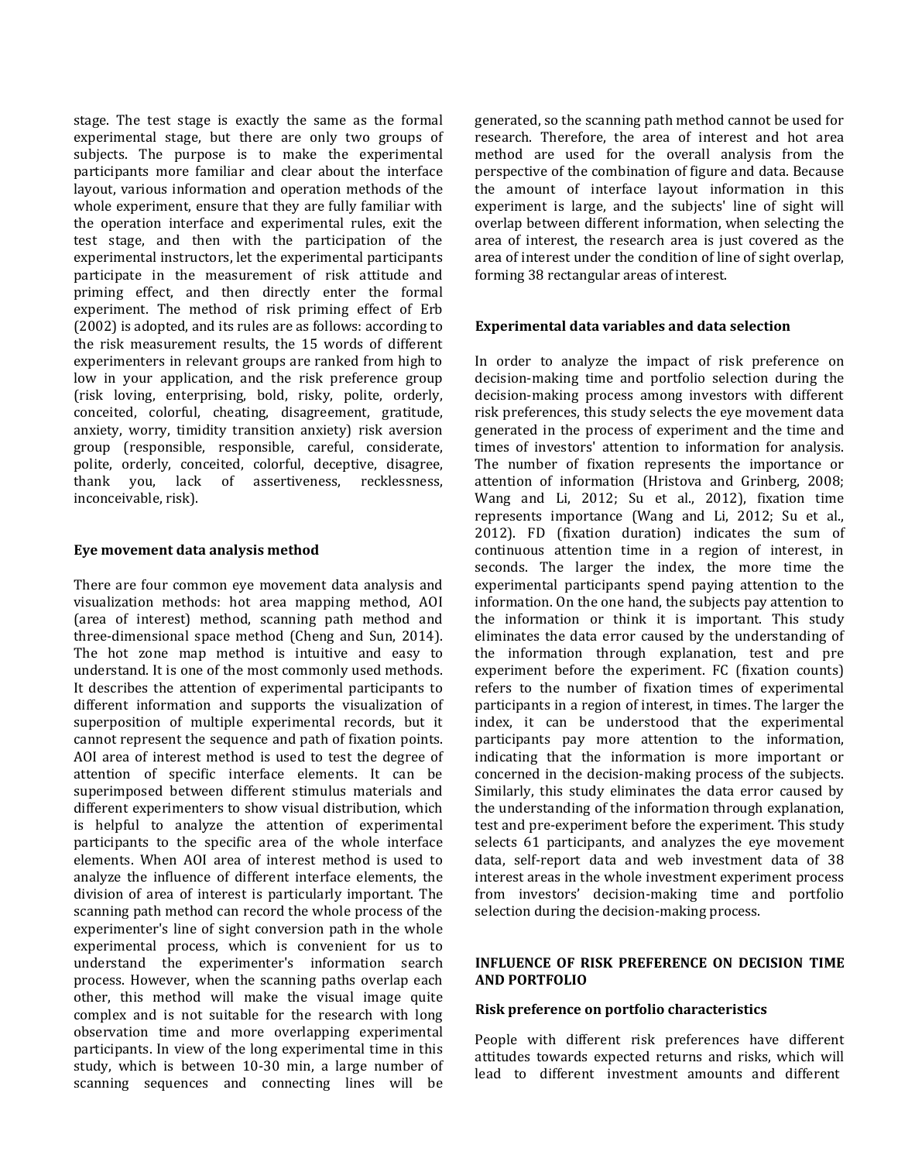stage. The test stage is exactly the same as the formal experimental stage, but there are only two groups of subjects. The purpose is to make the experimental participants more familiar and clear about the interface layout, various information and operation methods of the whole experiment, ensure that they are fully familiar with the operation interface and experimental rules, exit the test stage, and then with the participation of the experimental instructors, let the experimental participants participate in the measurement of risk attitude and priming effect, and then directly enter the formal experiment. The method of risk priming effect of Erb (2002) is adopted, and its rules are as follows: according to the risk measurement results, the 15 words of different experimenters in relevant groups are ranked from high to low in your application, and the risk preference group (risk loving, enterprising, bold, risky, polite, orderly, conceited, colorful, cheating, disagreement, gratitude, anxiety, worry, timidity transition anxiety) risk aversion group (responsible, responsible, careful, considerate, polite, orderly, conceited, colorful, deceptive, disagree, thank you, lack of assertiveness, recklessness, inconceivable, risk).

## **Eye movement data analysis method**

There are four common eye movement data analysis and visualization methods: hot area mapping method, AOI (area of interest) method, scanning path method and three-dimensional space method (Cheng and Sun, 2014). The hot zone map method is intuitive and easy to understand. It is one of the most commonly used methods. It describes the attention of experimental participants to different information and supports the visualization of superposition of multiple experimental records, but it cannot represent the sequence and path of fixation points. AOI area of interest method is used to test the degree of attention of specific interface elements. It can be superimposed between different stimulus materials and different experimenters to show visual distribution, which is helpful to analyze the attention of experimental participants to the specific area of the whole interface elements. When AOI area of interest method is used to analyze the influence of different interface elements, the division of area of interest is particularly important. The scanning path method can record the whole process of the experimenter's line of sight conversion path in the whole experimental process, which is convenient for us to understand the experimenter's information search process. However, when the scanning paths overlap each other, this method will make the visual image quite complex and is not suitable for the research with long observation time and more overlapping experimental participants. In view of the long experimental time in this study, which is between 10-30 min, a large number of scanning sequences and connecting lines will be generated, so the scanning path method cannot be used for research. Therefore, the area of interest and hot area method are used for the overall analysis from the perspective of the combination of figure and data. Because the amount of interface layout information in this experiment is large, and the subjects' line of sight will overlap between different information, when selecting the area of interest, the research area is just covered as the area of interest under the condition of line of sight overlap, forming 38 rectangular areas of interest.

## **Experimental data variables and data selection**

In order to analyze the impact of risk preference on decision-making time and portfolio selection during the decision-making process among investors with different risk preferences, this study selects the eye movement data generated in the process of experiment and the time and times of investors' attention to information for analysis. The number of fixation represents the importance or attention of information (Hristova and Grinberg, 2008; Wang and Li, 2012; Su et al., 2012), fixation time represents importance (Wang and Li, 2012; Su et al., 2012). FD (fixation duration) indicates the sum of continuous attention time in a region of interest, in seconds. The larger the index, the more time the experimental participants spend paying attention to the information. On the one hand, the subjects pay attention to the information or think it is important. This study eliminates the data error caused by the understanding of the information through explanation, test and pre experiment before the experiment. FC (fixation counts) refers to the number of fixation times of experimental participants in a region of interest, in times. The larger the index, it can be understood that the experimental participants pay more attention to the information, indicating that the information is more important or concerned in the decision-making process of the subjects. Similarly, this study eliminates the data error caused by the understanding of the information through explanation, test and pre-experiment before the experiment. This study selects 61 participants, and analyzes the eye movement data, self-report data and web investment data of 38 interest areas in the whole investment experiment process from investors' decision-making time and portfolio selection during the decision-making process.

## **INFLUENCE OF RISK PREFERENCE ON DECISION TIME AND PORTFOLIO**

#### **Risk preference on portfolio characteristics**

People with different risk preferences have different attitudes towards expected returns and risks, which will lead to different investment amounts and different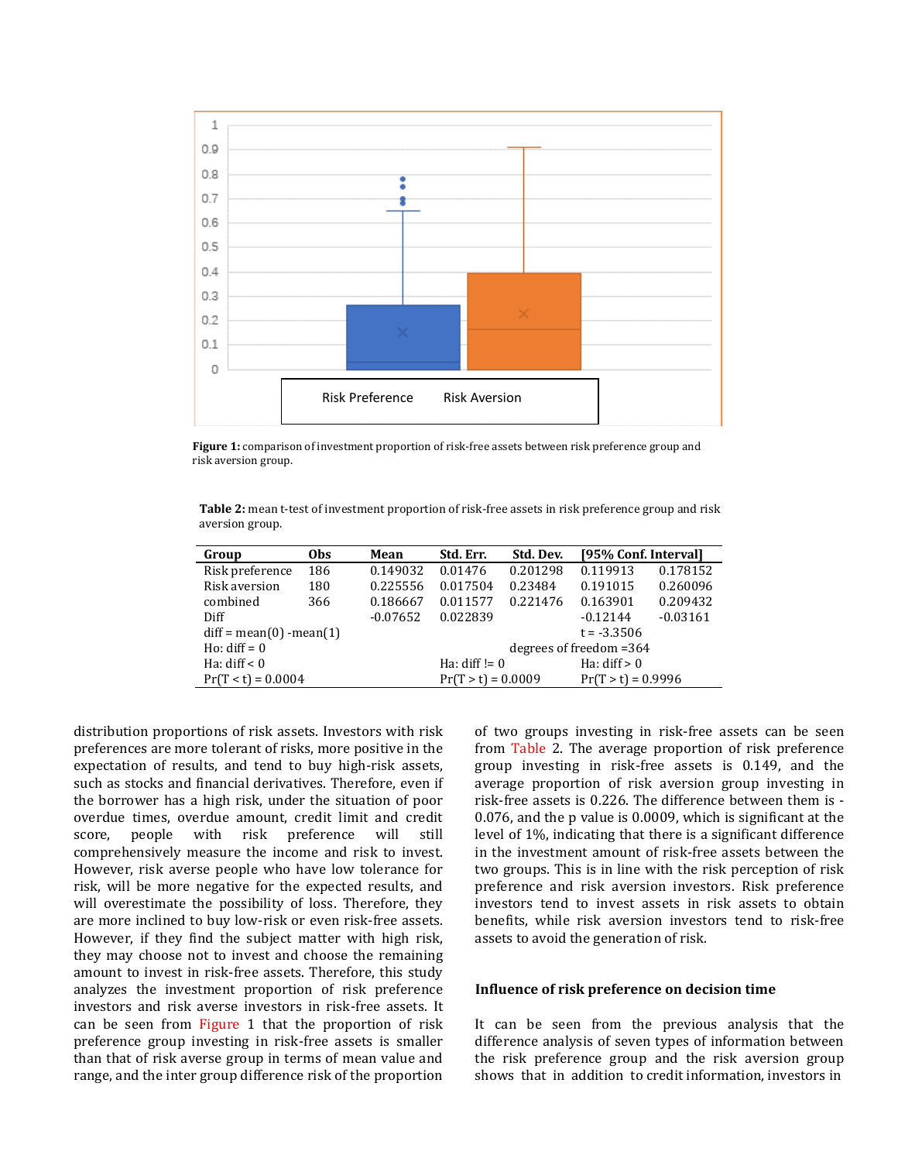

**Figure 1:** comparison of investment proportion of risk-free assets between risk preference group and risk aversion group.

**Table 2:** mean t-test of investment proportion of risk-free assets in risk preference group and risk aversion group.

| Group                     | 0bs | Mean       | Std. Err.                                    | [95% Conf. Interval]<br>Std. Dev. |            |            |  |  |
|---------------------------|-----|------------|----------------------------------------------|-----------------------------------|------------|------------|--|--|
| Risk preference           | 186 | 0.149032   | 0.01476                                      | 0.201298                          | 0.119913   | 0.178152   |  |  |
| Risk aversion             | 180 | 0.225556   | 0.017504                                     | 0.23484                           | 0.191015   | 0.260096   |  |  |
| combined                  | 366 | 0.186667   | 0.011577                                     | 0.221476                          | 0.163901   | 0.209432   |  |  |
| Diff                      |     | $-0.07652$ | 0.022839                                     |                                   | $-0.12144$ | $-0.03161$ |  |  |
| $diff = mean(0)$ -mean(1) |     |            |                                              | $t = -3.3506$                     |            |            |  |  |
| Ho: $diff = 0$            |     |            | degrees of freedom $=364$                    |                                   |            |            |  |  |
| Ha: $diff < 0$            |     |            | Ha: diff! $= 0$<br>Ha: $diff > 0$            |                                   |            |            |  |  |
| $Pr(T < t) = 0.0004$      |     |            | $Pr(T > t) = 0.9996$<br>$Pr(T > t) = 0.0009$ |                                   |            |            |  |  |

distribution proportions of risk assets. Investors with risk preferences are more tolerant of risks, more positive in the expectation of results, and tend to buy high-risk assets, such as stocks and financial derivatives. Therefore, even if the borrower has a high risk, under the situation of poor overdue times, overdue amount, credit limit and credit score, people with risk preference will still comprehensively measure the income and risk to invest. However, risk averse people who have low tolerance for risk, will be more negative for the expected results, and will overestimate the possibility of loss. Therefore, they are more inclined to buy low-risk or even risk-free assets. However, if they find the subject matter with high risk, they may choose not to invest and choose the remaining amount to invest in risk-free assets. Therefore, this study analyzes the investment proportion of risk preference investors and risk averse investors in risk-free assets. It can be seen from Figure 1 that the proportion of risk preference group investing in risk-free assets is smaller than that of risk averse group in terms of mean value and range, and the inter group difference risk of the proportion of two groups investing in risk-free assets can be seen from Table 2. The average proportion of risk preference group investing in risk-free assets is 0.149, and the average proportion of risk aversion group investing in risk-free assets is 0.226. The difference between them is - 0.076, and the p value is 0.0009, which is significant at the level of 1%, indicating that there is a significant difference in the investment amount of risk-free assets between the two groups. This is in line with the risk perception of risk preference and risk aversion investors. Risk preference investors tend to invest assets in risk assets to obtain benefits, while risk aversion investors tend to risk-free assets to avoid the generation of risk.

#### **Influence of risk preference on decision time**

It can be seen from the previous analysis that the difference analysis of seven types of information between the risk preference group and the risk aversion group shows that in addition to credit information, investors in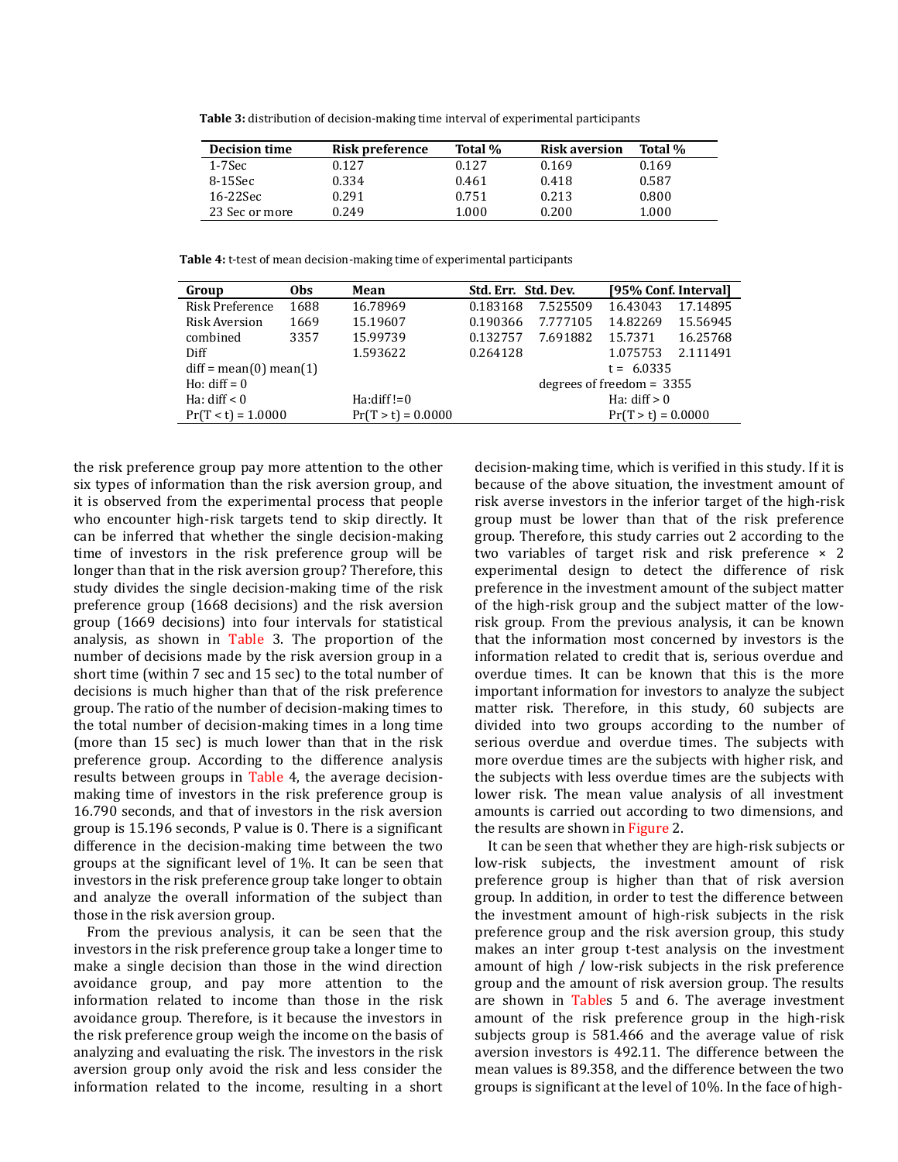**Table 3:** distribution of decision-making time interval of experimental participants

| <b>Decision time</b> | Risk preference | Total % | <b>Risk aversion</b> | Total % |
|----------------------|-----------------|---------|----------------------|---------|
| 1-7Sec               | 0.127           | 0.127   | 0.169                | 0.169   |
| 8-15Sec              | 0.334           | 0.461   | 0.418                | 0.587   |
| 16-22Sec             | 0.291           | 0.751   | 0.213                | 0.800   |
| 23 Sec or more       | 0.249           | 1.000   | 0.200                | 1.000   |

**Table 4:** t-test of mean decision-making time of experimental participants

| Group                    | 0bs  | Mean                 | Std. Err. Std. Dev.         |          | [95% Conf. Interval] |          |
|--------------------------|------|----------------------|-----------------------------|----------|----------------------|----------|
| Risk Preference          | 1688 | 16.78969             | 0.183168                    | 7.525509 | 16.43043             | 17.14895 |
| Risk Aversion            | 1669 | 15.19607             | 0.190366                    | 7.777105 | 14.82269             | 15.56945 |
| combined                 | 3357 | 15.99739             | 0.132757                    | 7.691882 | 15.7371              | 16.25768 |
| Diff                     |      | 1.593622             | 0.264128                    |          | 1.075753             | 2.111491 |
| $diff = mean(0)$ mean(1) |      |                      | $t = 6.0335$                |          |                      |          |
| Ho: $\text{diff} = 0$    |      |                      | degrees of freedom $= 3355$ |          |                      |          |
| Ha: $diff < 0$           |      | $Ha:diff!=0$         | Ha: $diff > 0$              |          |                      |          |
| $Pr(T < t) = 1.0000$     |      | $Pr(T > t) = 0.0000$ | $Pr(T > t) = 0.0000$        |          |                      |          |

the risk preference group pay more attention to the other six types of information than the risk aversion group, and it is observed from the experimental process that people who encounter high-risk targets tend to skip directly. It can be inferred that whether the single decision-making time of investors in the risk preference group will be longer than that in the risk aversion group? Therefore, this study divides the single decision-making time of the risk preference group (1668 decisions) and the risk aversion group (1669 decisions) into four intervals for statistical analysis, as shown in Table 3. The proportion of the number of decisions made by the risk aversion group in a short time (within 7 sec and 15 sec) to the total number of decisions is much higher than that of the risk preference group. The ratio of the number of decision-making times to the total number of decision-making times in a long time (more than 15 sec) is much lower than that in the risk preference group. According to the difference analysis results between groups in Table 4, the average decisionmaking time of investors in the risk preference group is 16.790 seconds, and that of investors in the risk aversion group is 15.196 seconds, P value is 0. There is a significant difference in the decision-making time between the two groups at the significant level of 1%. It can be seen that investors in the risk preference group take longer to obtain and analyze the overall information of the subject than those in the risk aversion group.

From the previous analysis, it can be seen that the investors in the risk preference group take a longer time to make a single decision than those in the wind direction avoidance group, and pay more attention to the information related to income than those in the risk avoidance group. Therefore, is it because the investors in the risk preference group weigh the income on the basis of analyzing and evaluating the risk. The investors in the risk aversion group only avoid the risk and less consider the information related to the income, resulting in a short decision-making time, which is verified in this study. If it is because of the above situation, the investment amount of risk averse investors in the inferior target of the high-risk group must be lower than that of the risk preference group. Therefore, this study carries out 2 according to the two variables of target risk and risk preference  $\times$  2 experimental design to detect the difference of risk preference in the investment amount of the subject matter of the high-risk group and the subject matter of the lowrisk group. From the previous analysis, it can be known that the information most concerned by investors is the information related to credit that is, serious overdue and overdue times. It can be known that this is the more important information for investors to analyze the subject matter risk. Therefore, in this study, 60 subjects are divided into two groups according to the number of serious overdue and overdue times. The subjects with more overdue times are the subjects with higher risk, and the subjects with less overdue times are the subjects with lower risk. The mean value analysis of all investment amounts is carried out according to two dimensions, and the results are shown in Figure 2.

It can be seen that whether they are high-risk subjects or low-risk subjects, the investment amount of risk preference group is higher than that of risk aversion group. In addition, in order to test the difference between the investment amount of high-risk subjects in the risk preference group and the risk aversion group, this study makes an inter group t-test analysis on the investment amount of high / low-risk subjects in the risk preference group and the amount of risk aversion group. The results are shown in Tables 5 and 6. The average investment amount of the risk preference group in the high-risk subjects group is 581.466 and the average value of risk aversion investors is 492.11. The difference between the mean values is 89.358, and the difference between the two groups is significant at the level of 10%. In the face of high-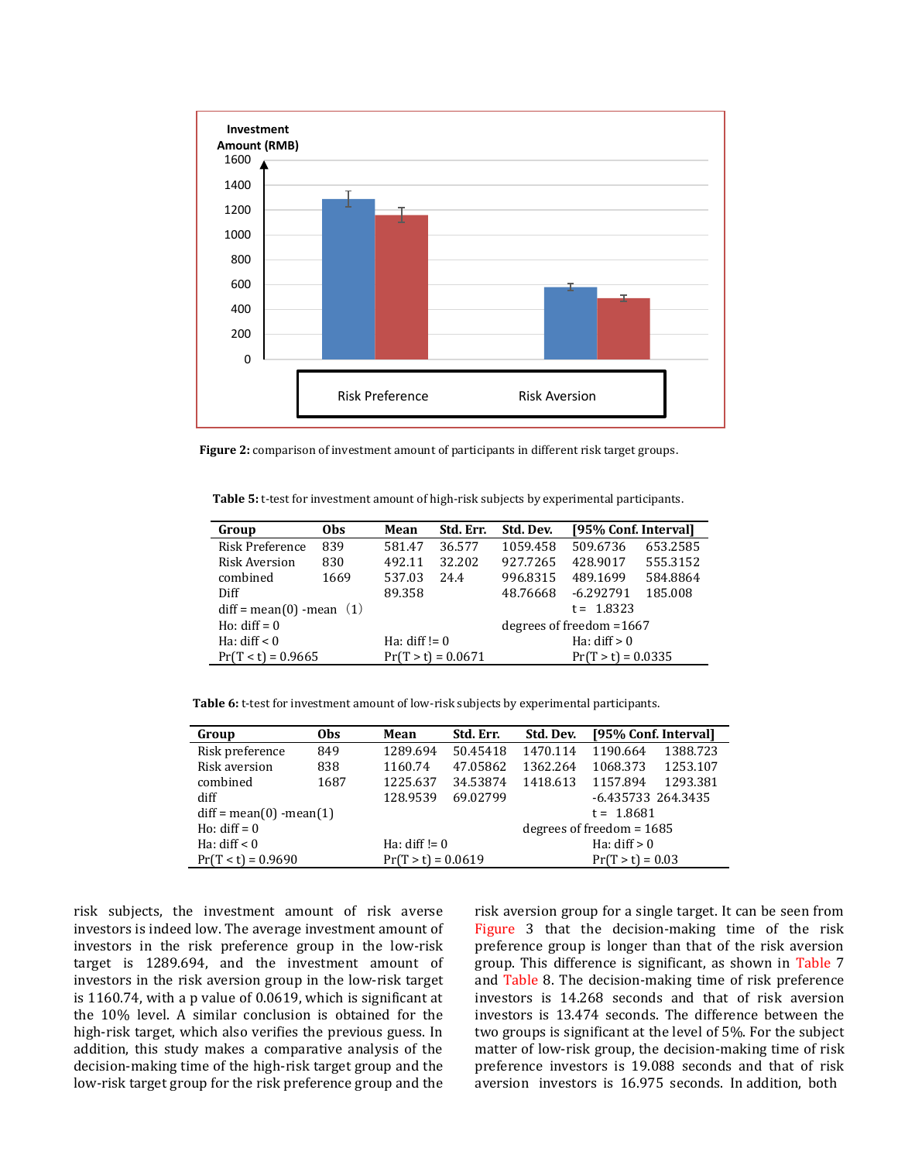

**Figure 2:** comparison of investment amount of participants in different risk target groups.

**Table 5:** t-test for investment amount of high-risk subjects by experimental participants.

| Group                      | <b>Obs</b> | Mean            | Std. Err.            | Std. Dev.                 | [95% Conf. Interval] |          |  |
|----------------------------|------------|-----------------|----------------------|---------------------------|----------------------|----------|--|
| Risk Preference            | 839        | 581.47          | 36.577               | 1059.458                  | 509.6736             | 653.2585 |  |
| <b>Risk Aversion</b>       | 830        | 492.11          | 32.202               | 927.7265                  | 428.9017             | 555.3152 |  |
| combined                   | 1669       | 537.03          | 24.4                 | 996.8315                  | 489.1699             | 584.8864 |  |
| Diff                       |            | 89.358          |                      | 48.76668                  | $-6.292791$          | 185.008  |  |
| $diff = mean(0)$ -mean (1) |            |                 |                      | $t = 1.8323$              |                      |          |  |
| Ho: $diff = 0$             |            |                 |                      | degrees of freedom = 1667 |                      |          |  |
| Ha: $diff < 0$             |            | Ha: $diff := 0$ |                      | Ha: $diff > 0$            |                      |          |  |
| $Pr(T < t) = 0.9665$       |            |                 | $Pr(T > t) = 0.0671$ |                           | $Pr(T > t) = 0.0335$ |          |  |

**Table 6:** t-test for investment amount of low-risk subjects by experimental participants.

| Group                      | 0bs  | Mean                 | Std. Err. | Std. Dev.                   | [95% Conf. Interval] |          |
|----------------------------|------|----------------------|-----------|-----------------------------|----------------------|----------|
| Risk preference            | 849  | 1289.694             | 50.45418  | 1470.114                    | 1190.664             | 1388.723 |
| Risk aversion              | 838  | 1160.74              | 47.05862  | 1362.264                    | 1068.373             | 1253.107 |
| combined                   | 1687 | 1225.637             | 34.53874  | 1418.613                    | 1157.894             | 1293.381 |
| diff                       |      | 128.9539             | 69.02799  |                             | -6.435733 264.3435   |          |
| $diff = mean(0) - mean(1)$ |      |                      |           | $t = 1.8681$                |                      |          |
| Ho: $\text{diff} = 0$      |      |                      |           | degrees of freedom $= 1685$ |                      |          |
| Ha: $diff < 0$             |      | Ha: diff! $= 0$      |           | Ha: $diff > 0$              |                      |          |
| $Pr(T < t) = 0.9690$       |      | $Pr(T > t) = 0.0619$ |           | $Pr(T > t) = 0.03$          |                      |          |

risk subjects, the investment amount of risk averse investors is indeed low. The average investment amount of investors in the risk preference group in the low-risk target is 1289.694, and the investment amount of investors in the risk aversion group in the low-risk target is 1160.74, with a p value of 0.0619, which is significant at the 10% level. A similar conclusion is obtained for the high-risk target, which also verifies the previous guess. In addition, this study makes a comparative analysis of the decision-making time of the high-risk target group and the low-risk target group for the risk preference group and the risk aversion group for a single target. It can be seen from Figure 3 that the decision-making time of the risk preference group is longer than that of the risk aversion group. This difference is significant, as shown in Table 7 and Table 8. The decision-making time of risk preference investors is 14.268 seconds and that of risk aversion investors is 13.474 seconds. The difference between the two groups is significant at the level of 5%. For the subject matter of low-risk group, the decision-making time of risk preference investors is 19.088 seconds and that of risk aversion investors is 16.975 seconds. In addition, both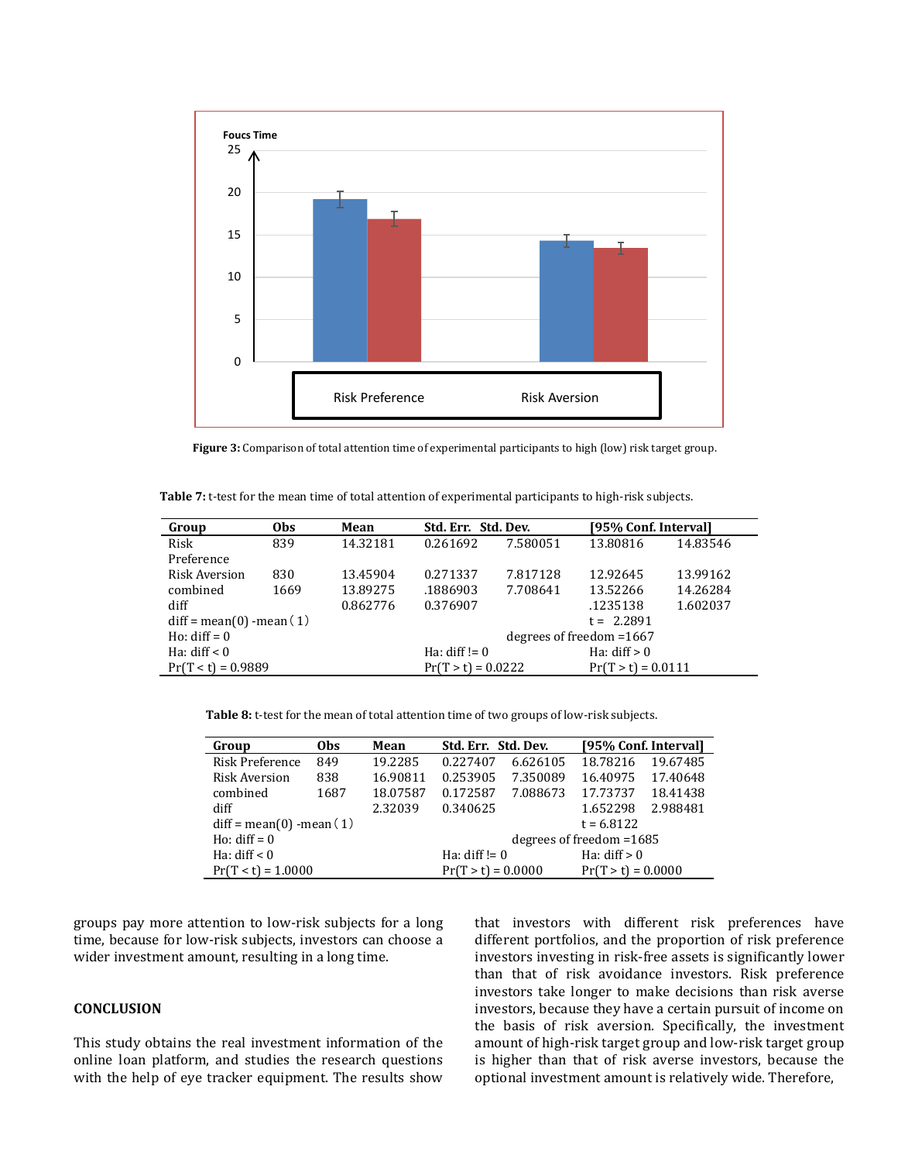

**Figure 3:** Comparison of total attention time of experimental participants to high (low) risk target group.

**Table 7:** t-test for the mean time of total attention of experimental participants to high-risk subjects.

| Group                     | <b>Obs</b> | Mean     |                                              | Std. Err. Std. Dev. |                | [95% Conf. Interval] |  |
|---------------------------|------------|----------|----------------------------------------------|---------------------|----------------|----------------------|--|
| Risk                      | 839        | 14.32181 | 0.261692                                     | 7.580051            | 13.80816       | 14.83546             |  |
| Preference                |            |          |                                              |                     |                |                      |  |
| <b>Risk Aversion</b>      | 830        | 13.45904 | 0.271337                                     | 7.817128            | 12.92645       | 13.99162             |  |
| combined                  | 1669       | 13.89275 | .1886903                                     | 7.708641            | 13.52266       | 14.26284             |  |
| diff                      |            | 0.862776 | 0.376907                                     |                     | .1235138       | 1.602037             |  |
| $diff = mean(0)$ -mean(1) |            |          | $t = 2.2891$                                 |                     |                |                      |  |
| Ho: $diff = 0$            |            |          | degrees of freedom $=1667$                   |                     |                |                      |  |
| Ha: $diff < 0$            |            |          | Ha: $diff := 0$                              |                     | Ha: $diff > 0$ |                      |  |
| $Pr(T < t) = 0.9889$      |            |          | $Pr(T > t) = 0.0222$<br>$Pr(T > t) = 0.0111$ |                     |                |                      |  |

**Table 8:** t-test for the mean of total attention time of two groups of low-risk subjects.

| Group                     | 0 <sub>bs</sub> | Mean     | Std. Err. Std. Dev.               |          | [95% Conf. Interval] |          |  |
|---------------------------|-----------------|----------|-----------------------------------|----------|----------------------|----------|--|
| <b>Risk Preference</b>    | 849             | 19.2285  | 0.227407                          | 6.626105 | 18.78216             | 19.67485 |  |
| <b>Risk Aversion</b>      | 838             | 16.90811 | 0.253905                          | 7.350089 | 16.40975             | 17.40648 |  |
| combined                  | 1687            | 18.07587 | 0.172587                          | 7.088673 | 17.73737             | 18.41438 |  |
| diff                      |                 | 2.32039  | 0.340625                          |          | 1.652298             | 2.988481 |  |
| $diff = mean(0)$ -mean(1) |                 |          | $t = 6.8122$                      |          |                      |          |  |
| Ho: $\text{diff} = 0$     |                 |          | degrees of freedom $=1685$        |          |                      |          |  |
| Ha: $diff < 0$            |                 |          | Ha: $diff > 0$<br>Ha: diff! $= 0$ |          |                      |          |  |
| $Pr(T < t) = 1.0000$      |                 |          | $Pr(T > t) = 0.0000$              |          | $Pr(T > t) = 0.0000$ |          |  |

groups pay more attention to low-risk subjects for a long time, because for low-risk subjects, investors can choose a wider investment amount, resulting in a long time.

## **CONCLUSION**

This study obtains the real investment information of the online loan platform, and studies the research questions with the help of eye tracker equipment. The results show that investors with different risk preferences have different portfolios, and the proportion of risk preference investors investing in risk-free assets is significantly lower than that of risk avoidance investors. Risk preference investors take longer to make decisions than risk averse investors, because they have a certain pursuit of income on the basis of risk aversion. Specifically, the investment amount of high-risk target group and low-risk target group is higher than that of risk averse investors, because the optional investment amount is relatively wide. Therefore,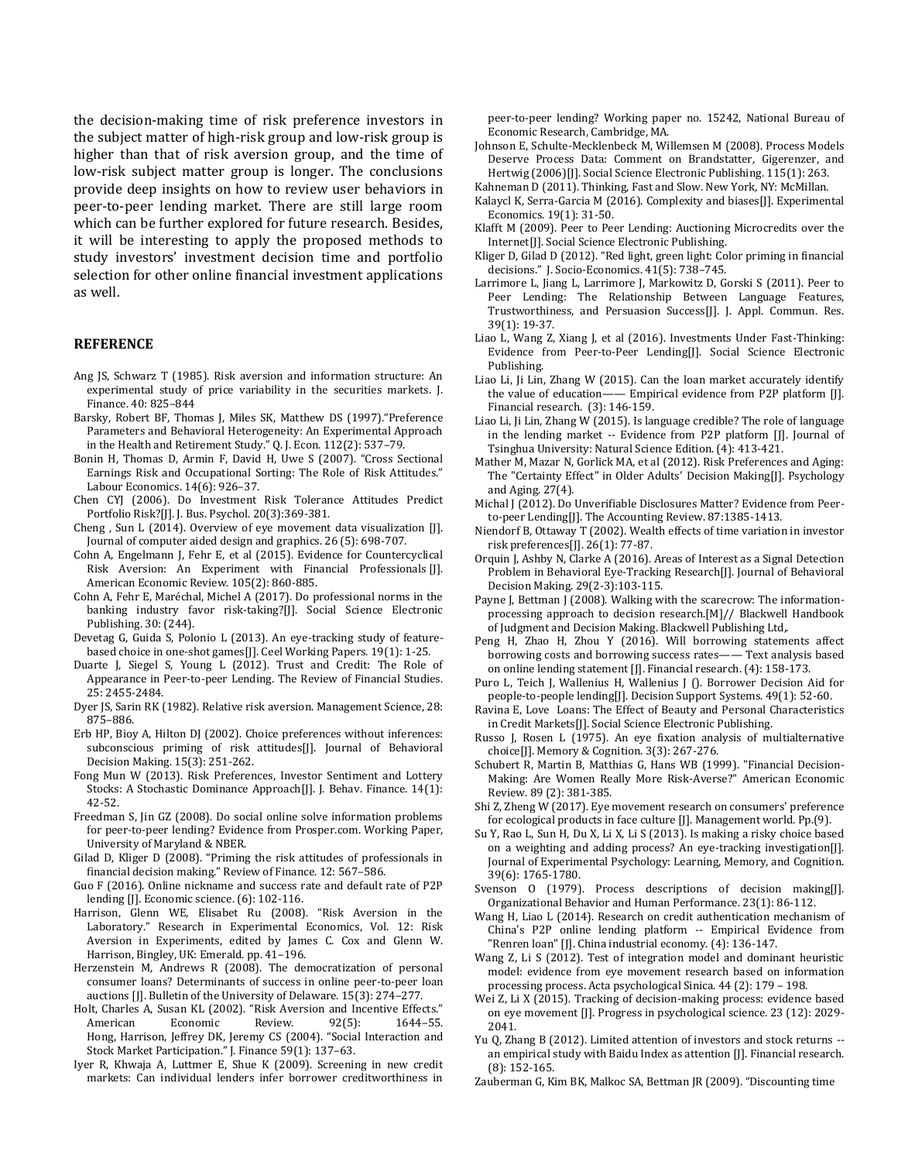the decision-making time of risk preference investors in the subject matter of high-risk group and low-risk group is higher than that of risk aversion group, and the time of low-risk subject matter group is longer. The conclusions provide deep insights on how to review user behaviors in peer-to-peer lending market. There are still large room which can be further explored for future research. Besides, it will be interesting to apply the proposed methods to study investors' investment decision time and portfolio selection for other online financial investment applications as well.

#### **REFERENCE**

- Ang JS, Schwarz T (1985). Risk aversion and information structure: An experimental study of price variability in the securities markets. J. Finance. 40: 825–844
- Barsky, Robert BF, Thomas J, Miles SK, Matthew DS (1997)."Preference Parameters and Behavioral Heterogeneity: An Experimental Approach in the Health and Retirement Study." Q. J. Econ. 112(2): 537–79.
- Bonin H, Thomas D, Armin F, David H, Uwe S (2007). "Cross Sectional Earnings Risk and Occupational Sorting: The Role of Risk Attitudes." Labour Economics. 14(6): 926–37.
- Chen CYJ (2006). Do Investment Risk Tolerance Attitudes Predict Portfolio Risk?[J]. J. Bus. Psychol. 20(3):369-381.
- Cheng , Sun L (2014). Overview of eye movement data visualization [J]. Journal of computer aided design and graphics. 26 (5): 698-707.
- Cohn A, Engelmann J, Fehr E, et al (2015). Evidence for Countercyclical Risk Aversion: An Experiment with Financial Professionals [J]. American Economic Review. 105(2): 860-885.
- Cohn A, Fehr E, Maréchal, Michel A (2017). Do professional norms in the banking industry favor risk-taking?[J]. Social Science Electronic Publishing. 30: (244).
- Devetag G, Guida S, Polonio L (2013). An eye-tracking study of featurebased choice in one-shot games[J]. Ceel Working Papers. 19(1): 1-25.
- Duarte J, Siegel S, Young L (2012). Trust and Credit: The Role of Appearance in Peer-to-peer Lending. The Review of Financial Studies. 25: 2455-2484.
- Dyer JS, Sarin RK (1982). Relative risk aversion. Management Science, 28: 875–886.
- Erb HP, Bioy A, Hilton DJ (2002). Choice preferences without inferences: subconscious priming of risk attitudes[J]. Journal of Behavioral Decision Making. 15(3): 251-262.
- Fong Mun W (2013). Risk Preferences, Investor Sentiment and Lottery Stocks: A Stochastic Dominance Approach[J]. J. Behav. Finance. 14(1): 42-52.
- Freedman S, Jin GZ (2008). Do social online solve information problems for peer-to-peer lending? Evidence from Prosper.com. Working Paper, University of Maryland & NBER.
- Gilad D, Kliger D (2008). "Priming the risk attitudes of professionals in financial decision making." Review of Finance. 12: 567–586.
- Guo F (2016). Online nickname and success rate and default rate of P2P lending [J]. Economic science. (6): 102-116.
- Harrison, Glenn WE, Elisabet Ru (2008). "Risk Aversion in the Laboratory." Research in Experimental Economics, Vol. 12: Risk Aversion in Experiments, edited by James C. Cox and Glenn W. Harrison, Bingley, UK: Emerald. pp. 41–196.
- Herzenstein M, Andrews R (2008). The democratization of personal consumer loans? Determinants of success in online peer-to-peer loan auctions [J]. Bulletin of the University of Delaware. 15(3): 274–277.
- Holt, Charles A, Susan KL (2002). "Risk Aversion and Incentive Effects." American Economic Review. 92(5): 1644-55. Hong, Harrison, Jeffrey DK, Jeremy CS (2004). "Social Interaction and Stock Market Participation." J. Finance 59(1): 137–63.
- Iyer R, Khwaja A, Luttmer E, Shue K (2009). Screening in new credit markets: Can individual lenders infer borrower creditworthiness in

peer-to-peer lending? Working paper no. 15242, National Bureau of Economic Research, Cambridge, MA.

- Johnson E, Schulte-Mecklenbeck M, Willemsen M (2008). Process Models Deserve Process Data: Comment on Brandstatter, Gigerenzer, and Hertwig (2006)[J]. Social Science Electronic Publishing. 115(1): 263.
- Kahneman D (2011). Thinking, Fast and Slow. New York, NY: McMillan.
- Kalaycl K, Serra-Garcia M (2016). Complexity and biases[J]. Experimental Economics. 19(1): 31-50.
- Klafft M (2009). Peer to Peer Lending: Auctioning Microcredits over the Internet[J]. Social Science Electronic Publishing.
- Kliger D, Gilad D (2012). "Red light, green light: Color priming in financial decisions." J. Socio-Economics. 41(5): 738–745.
- Larrimore L, Jiang L, Larrimore J, Markowitz D, Gorski S (2011). Peer to Peer Lending: The Relationship Between Language Features, Trustworthiness, and Persuasion Success[J]. J. Appl. Commun. Res. 39(1): 19-37.
- Liao L, Wang Z, Xiang J, et al (2016). Investments Under Fast-Thinking: Evidence from Peer-to-Peer Lending[J]. Social Science Electronic Publishing.
- Liao Li, Ji Lin, Zhang W (2015). Can the loan market accurately identify the value of education—— Empirical evidence from P2P platform [J]. Financial research. (3): 146-159.
- Liao Li, Ji Lin, Zhang W (2015). Is language credible? The role of language in the lending market -- Evidence from P2P platform [J]. Journal of Tsinghua University: Natural Science Edition. (4): 413-421.
- Mather M, Mazar N, Gorlick MA, et al (2012). Risk Preferences and Aging: The "Certainty Effect" in Older Adults' Decision Making[J]. Psychology and Aging. 27(4).
- Michal J (2012). Do Unverifiable Disclosures Matter? Evidence from Peerto-peer Lending[J]. The Accounting Review. 87:1385-1413.
- Niendorf B, Ottaway T (2002). Wealth effects of time variation in investor risk preferences[J]. 26(1): 77-87.
- Orquin J, Ashby N, Clarke A (2016). Areas of Interest as a Signal Detection Problem in Behavioral Eye-Tracking Research[J]. Journal of Behavioral Decision Making. 29(2-3):103-115.
- Payne J, Bettman J (2008). Walking with the scarecrow: The informationprocessing approach to decision research.[M]// Blackwell Handbook of Judgment and Decision Making. Blackwell Publishing Ltd,.
- Peng H, Zhao H, Zhou Y (2016). Will borrowing statements affect borrowing costs and borrowing success rates—— Text analysis based on online lending statement [J]. Financial research. (4): 158-173.
- Puro L, Teich J, Wallenius H, Wallenius J (). Borrower Decision Aid for people-to-people lending[J]. Decision Support Systems. 49(1): 52-60.
- Ravina E, Love Loans: The Effect of Beauty and Personal Characteristics in Credit Markets[J]. Social Science Electronic Publishing.
- Russo J, Rosen L (1975). An eye fixation analysis of multialternative choice[J]. Memory & Cognition. 3(3): 267-276.
- Schubert R, Martin B, Matthias G, Hans WB (1999). "Financial Decision-Making: Are Women Really More Risk-Averse?" American Economic Review. 89 (2): 381-385.
- Shi Z, Zheng W (2017). Eye movement research on consumers' preference for ecological products in face culture [J]. Management world. Pp.(9).
- Su Y, Rao L, Sun H, Du X, Li X, Li S (2013). Is making a risky choice based on a weighting and adding process? An eye-tracking investigation[J]. Journal of Experimental Psychology: Learning, Memory, and Cognition. 39(6): 1765-1780.
- Svenson O (1979). Process descriptions of decision making[J]. Organizational Behavior and Human Performance. 23(1): 86-112.
- Wang H, Liao L (2014). Research on credit authentication mechanism of China's P2P online lending platform -- Empirical Evidence from "Renren loan" [J]. China industrial economy. (4): 136-147.
- Wang Z, Li S (2012). Test of integration model and dominant heuristic model: evidence from eye movement research based on information processing process. Acta psychological Sinica. 44 (2): 179 – 198.
- Wei Z, Li X (2015). Tracking of decision-making process: evidence based on eye movement [J]. Progress in psychological science. 23 (12): 2029- 2041.
- Yu Q, Zhang B (2012). Limited attention of investors and stock returns an empirical study with Baidu Index as attention [J]. Financial research. (8): 152-165.
- Zauberman G, Kim BK, Malkoc SA, Bettman JR (2009). "Discounting time